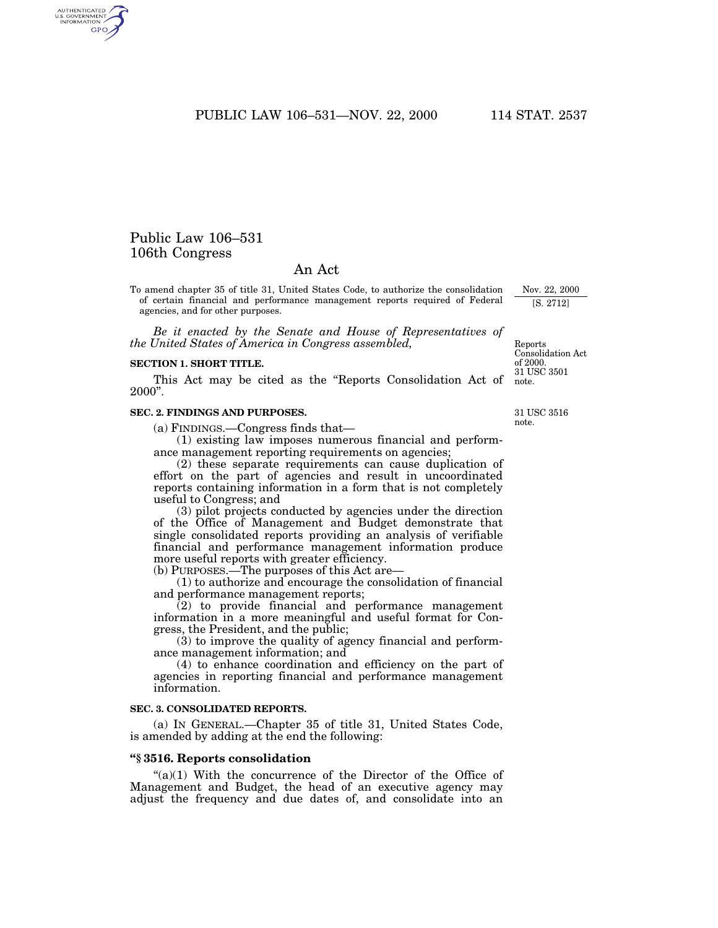PUBLIC LAW 106–531—NOV. 22, 2000 114 STAT. 2537

# Public Law 106–531 106th Congress

## An Act

To amend chapter 35 of title 31, United States Code, to authorize the consolidation of certain financial and performance management reports required of Federal agencies, and for other purposes.

*Be it enacted by the Senate and House of Representatives of the United States of America in Congress assembled,*

#### **SECTION 1. SHORT TITLE.**

This Act may be cited as the ''Reports Consolidation Act of 2000''.

#### **SEC. 2. FINDINGS AND PURPOSES.**

(a) FINDINGS.—Congress finds that—

(1) existing law imposes numerous financial and performance management reporting requirements on agencies;

(2) these separate requirements can cause duplication of effort on the part of agencies and result in uncoordinated reports containing information in a form that is not completely useful to Congress; and

(3) pilot projects conducted by agencies under the direction of the Office of Management and Budget demonstrate that single consolidated reports providing an analysis of verifiable financial and performance management information produce more useful reports with greater efficiency.

(b) PURPOSES.—The purposes of this Act are—

(1) to authorize and encourage the consolidation of financial and performance management reports;

(2) to provide financial and performance management information in a more meaningful and useful format for Congress, the President, and the public;

(3) to improve the quality of agency financial and performance management information; and

(4) to enhance coordination and efficiency on the part of agencies in reporting financial and performance management information.

#### **SEC. 3. CONSOLIDATED REPORTS.**

(a) IN GENERAL.—Chapter 35 of title 31, United States Code, is amended by adding at the end the following:

#### **''§ 3516. Reports consolidation**

" $(a)(1)$  With the concurrence of the Director of the Office of Management and Budget, the head of an executive agency may adjust the frequency and due dates of, and consolidate into an

31 USC 3516 note.

31 USC 3501 note.

Reports Consolidation Act of 2000.

Nov. 22, 2000 [S. 2712]

AUTHENTICATED<br>U.S. GOVERNMENT<br>INFORMATION GPO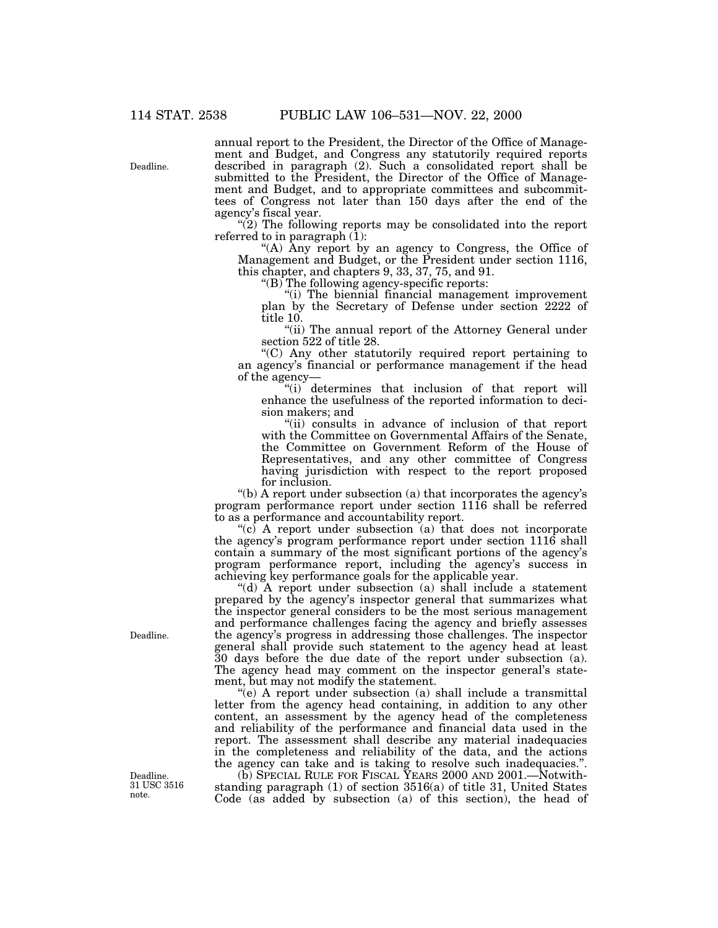Deadline.

annual report to the President, the Director of the Office of Management and Budget, and Congress any statutorily required reports described in paragraph (2). Such a consolidated report shall be submitted to the President, the Director of the Office of Management and Budget, and to appropriate committees and subcommittees of Congress not later than 150 days after the end of the agency's fiscal year.

 $(2)$  The following reports may be consolidated into the report referred to in paragraph (1):

''(A) Any report by an agency to Congress, the Office of Management and Budget, or the President under section 1116, this chapter, and chapters 9, 33, 37, 75, and 91.

" $(B)$  The following agency-specific reports:

''(i) The biennial financial management improvement plan by the Secretary of Defense under section 2222 of title 10.

"(ii) The annual report of the Attorney General under section 522 of title 28.

''(C) Any other statutorily required report pertaining to an agency's financial or performance management if the head of the agency—

"(i) determines that inclusion of that report will enhance the usefulness of the reported information to decision makers; and

"(ii) consults in advance of inclusion of that report with the Committee on Governmental Affairs of the Senate, the Committee on Government Reform of the House of Representatives, and any other committee of Congress having jurisdiction with respect to the report proposed for inclusion.

 $'(b)$  A report under subsection (a) that incorporates the agency's program performance report under section 1116 shall be referred to as a performance and accountability report.

" $(c)$  A report under subsection  $(a)$  that does not incorporate the agency's program performance report under section 1116 shall contain a summary of the most significant portions of the agency's program performance report, including the agency's success in achieving key performance goals for the applicable year.

''(d) A report under subsection (a) shall include a statement prepared by the agency's inspector general that summarizes what the inspector general considers to be the most serious management and performance challenges facing the agency and briefly assesses the agency's progress in addressing those challenges. The inspector general shall provide such statement to the agency head at least 30 days before the due date of the report under subsection (a). The agency head may comment on the inspector general's statement, but may not modify the statement.

''(e) A report under subsection (a) shall include a transmittal letter from the agency head containing, in addition to any other content, an assessment by the agency head of the completeness and reliability of the performance and financial data used in the report. The assessment shall describe any material inadequacies in the completeness and reliability of the data, and the actions the agency can take and is taking to resolve such inadequacies.''.

(b) SPECIAL RULE FOR FISCAL YEARS 2000 AND 2001.—Notwithstanding paragraph (1) of section 3516(a) of title 31, United States Code (as added by subsection (a) of this section), the head of

Deadline.

Deadline. 31 USC 3516 note.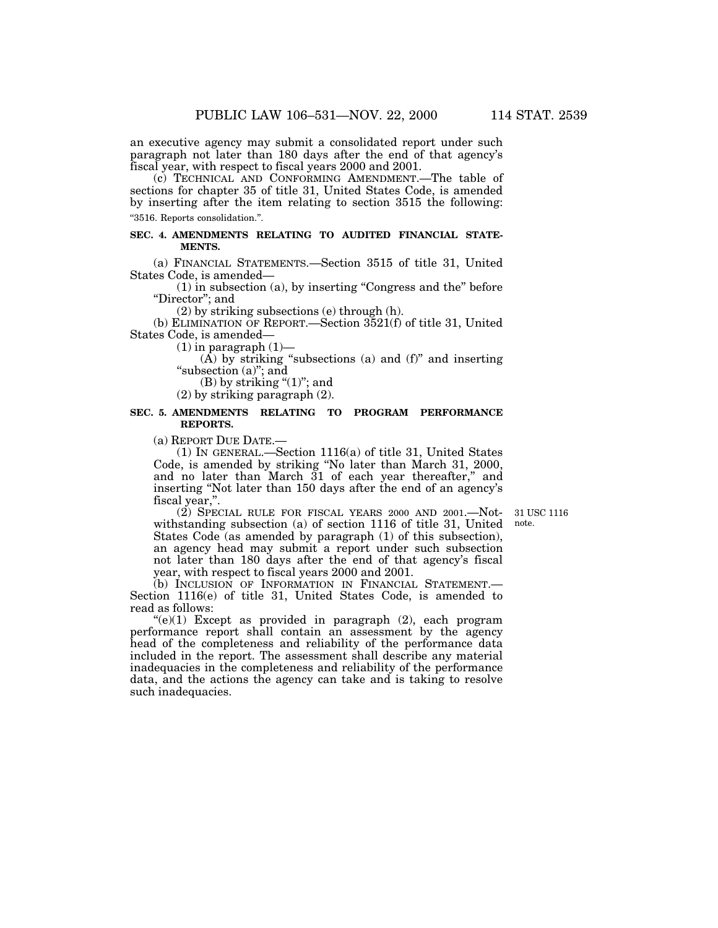an executive agency may submit a consolidated report under such paragraph not later than 180 days after the end of that agency's fiscal year, with respect to fiscal years 2000 and 2001.

(c) TECHNICAL AND CONFORMING AMENDMENT.—The table of sections for chapter 35 of title 31, United States Code, is amended by inserting after the item relating to section 3515 the following: ''3516. Reports consolidation.''.

#### **SEC. 4. AMENDMENTS RELATING TO AUDITED FINANCIAL STATE-MENTS.**

(a) FINANCIAL STATEMENTS.—Section 3515 of title 31, United States Code, is amended—

(1) in subsection (a), by inserting ''Congress and the'' before "Director"; and

(2) by striking subsections (e) through (h).

(b) ELIMINATION OF REPORT.—Section 3521(f) of title 31, United States Code, is amended—

 $(1)$  in paragraph  $(1)$ —

(A) by striking "subsections (a) and  $(f)$ " and inserting "subsection  $(a)$ "; and

(B) by striking " $(1)$ "; and

(2) by striking paragraph (2).

### **SEC. 5. AMENDMENTS RELATING TO PROGRAM PERFORMANCE REPORTS.**

(a) REPORT DUE DATE.—

(1) IN GENERAL.—Section 1116(a) of title 31, United States Code, is amended by striking ''No later than March 31, 2000, and no later than March 31 of each year thereafter,'' and inserting ''Not later than 150 days after the end of an agency's fiscal year,''.

(2) SPECIAL RULE FOR FISCAL YEARS 2000 AND 2001.—Notwithstanding subsection (a) of section 1116 of title 31, United

31 USC 1116 note.

States Code (as amended by paragraph (1) of this subsection), an agency head may submit a report under such subsection not later than 180 days after the end of that agency's fiscal year, with respect to fiscal years 2000 and 2001. (b) INCLUSION OF INFORMATION IN FINANCIAL STATEMENT.—

Section 1116(e) of title 31, United States Code, is amended to read as follows:

 $((e)(1)$  Except as provided in paragraph  $(2)$ , each program performance report shall contain an assessment by the agency head of the completeness and reliability of the performance data included in the report. The assessment shall describe any material inadequacies in the completeness and reliability of the performance data, and the actions the agency can take and is taking to resolve such inadequacies.